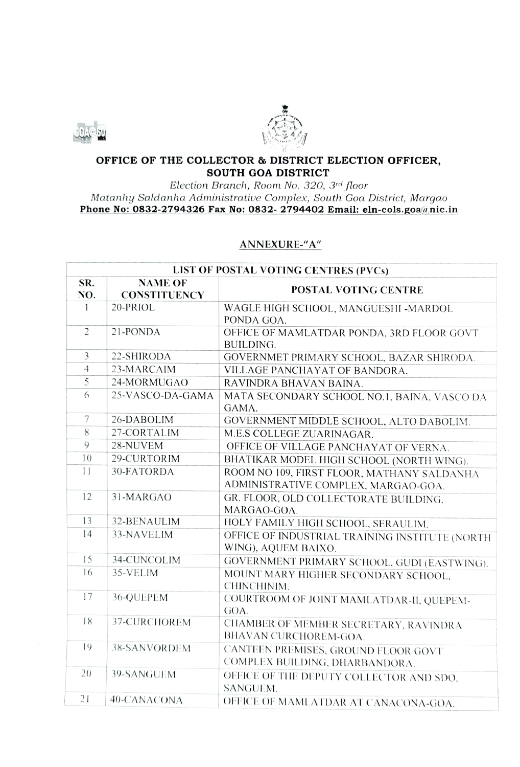



## OFFICE OF THE COLLECTOR & DISTRICT ELECTION OFFICER, SOUTH GOA DISTRICT

Election Branch, Room No. 320, 3rd floor Matanhy Saldanha Administrative Complex, South Goa District, Margao Phone No: 0832-2794326 Fax No: 0832- 2794402 Email: eln-cols.goa@nic.in

## ANNEXURE-"A"

| LIST OF POSTAL VOTING CENTRES (PVCs) |                                       |                                                                                   |  |  |
|--------------------------------------|---------------------------------------|-----------------------------------------------------------------------------------|--|--|
| SR.<br>NO.                           | <b>NAME OF</b><br><b>CONSTITUENCY</b> | POSTAL VOTING CENTRE                                                              |  |  |
| $\mathbf{1}$                         | 20-PRIOL                              | WAGLE HIGH SCHOOL, MANGUESHI -MARDOL<br>PONDA GOA.                                |  |  |
| $\overline{2}$                       | 21-PONDA                              | OFFICE OF MAMLATDAR PONDA, 3RD FLOOR GOVT<br>BUILDING.                            |  |  |
| $\overline{3}$                       | 22-SHIRODA                            | GOVERNMET PRIMARY SCHOOL, BAZAR SHIRODA.                                          |  |  |
| $\overline{4}$                       | 23-MARCAIM                            | VILLAGE PANCHAYAT OF BANDORA.                                                     |  |  |
| 5                                    | 24-MORMUGAO                           | RAVINDRA BHAVAN BAINA.                                                            |  |  |
| 6                                    | 25-VASCO-DA-GAMA                      | MATA SECONDARY SCHOOL NO.1, BAINA, VASCO DA<br>GAMA.                              |  |  |
| $\overline{7}$                       | 26-DABOLIM                            | GOVERNMENT MIDDLE SCHOOL, ALTO DABOLIM.                                           |  |  |
| 8                                    | 27-CORTALIM                           | M.E.S COLLEGE ZUARINAGAR.                                                         |  |  |
| 9                                    | 28-NUVEM                              | OFFICE OF VILLAGE PANCHAYAT OF VERNA.                                             |  |  |
| 10                                   | 29-CURTORIM                           | BHATIKAR MODEL HIGH SCHOOL (NORTH WING).                                          |  |  |
| 11                                   | 30-FATORDA                            | ROOM NO 109, FIRST FLOOR, MATHANY SALDANHA<br>ADMINISTRATIVE COMPLEX, MARGAO-GOA. |  |  |
| 12                                   | 31-MARGAO                             | GR. FLOOR, OLD COLLECTORATE BUILDING.<br>MARGAO-GOA.                              |  |  |
| 13                                   | 32-BENAULIM                           | HOLY FAMILY HIGH SCHOOL, SERAULIM.                                                |  |  |
| 14                                   | 33-NAVELIM                            | OFFICE OF INDUSTRIAL TRAINING INSTITUTE (NORTH<br>WING), AQUEM BAIXO.             |  |  |
| 15                                   | 34-CUNCOLIM                           | GOVERNMENT PRIMARY SCHOOL, GUDI (EASTWING).                                       |  |  |
| 16                                   | 35-VELIM                              | MOUNT MARY HIGHER SECONDARY SCHOOL,<br>CHINCHINIM.                                |  |  |
| 17                                   | 36-QUEPEM                             | COURTROOM OF JOINT MAMLATDAR-II, QUEPEM-<br>GOA.                                  |  |  |
| 18                                   | 37-CURCHOREM                          | CHAMBER OF MEMBER SECRETARY, RAVINDRA<br>BHAVAN CURCHOREM-GOA.                    |  |  |
| 19                                   | 38-SANVORDEM                          | CANTEEN PREMISES, GROUND FLOOR GOVT<br>COMPLEX BUILDING, DHARBANDORA.             |  |  |
| 20                                   | 39-SANGUEM                            | OFFICE OF THE DEPUTY COLLECTOR AND SDO,<br>SANGUEM.                               |  |  |
| 21                                   | 40-CANACONA                           | OFFICE OF MAMLATDAR AT CANACONA-GOA.                                              |  |  |